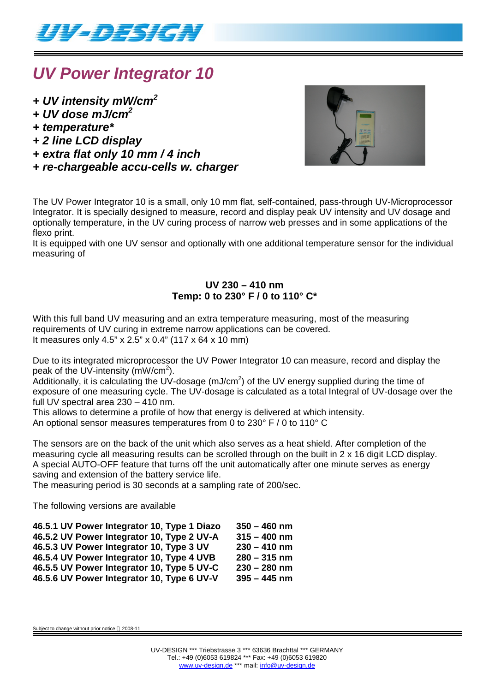

## *UV Power Integrator 10*

- *+ UV intensity mW/cm<sup>2</sup>*
- *+ UV dose mJ/cm<sup>2</sup>*
- *+ temperature\**
- *+ 2 line LCD display*
- *+ extra flat only 10 mm / 4 inch*
- *+ re-chargeable accu-cells w. charger*



The UV Power Integrator 10 is a small, only 10 mm flat, self-contained, pass-through UV-Microprocessor Integrator. It is specially designed to measure, record and display peak UV intensity and UV dosage and optionally temperature, in the UV curing process of narrow web presses and in some applications of the flexo print.

It is equipped with one UV sensor and optionally with one additional temperature sensor for the individual measuring of

### **UV 230 – 410 nm Temp: 0 to 230° F / 0 to 110° C\***

With this full band UV measuring and an extra temperature measuring, most of the measuring requirements of UV curing in extreme narrow applications can be covered. It measures only 4.5" x 2.5" x 0.4" (117 x 64 x 10 mm)

Due to its integrated microprocessor the UV Power Integrator 10 can measure, record and display the peak of the UV-intensity (mW/cm<sup>2</sup>).

Additionally, it is calculating the UV-dosage (mJ/cm<sup>2</sup>) of the UV energy supplied during the time of exposure of one measuring cycle. The UV-dosage is calculated as a total Integral of UV-dosage over the full UV spectral area 230 – 410 nm.

This allows to determine a profile of how that energy is delivered at which intensity. An optional sensor measures temperatures from 0 to 230° F / 0 to 110° C

The sensors are on the back of the unit which also serves as a heat shield. After completion of the measuring cycle all measuring results can be scrolled through on the built in 2 x 16 digit LCD display. A special AUTO-OFF feature that turns off the unit automatically after one minute serves as energy saving and extension of the battery service life.

The measuring period is 30 seconds at a sampling rate of 200/sec.

The following versions are available

| 46.5.1 UV Power Integrator 10, Type 1 Diazo | $350 - 460$ nm |
|---------------------------------------------|----------------|
| 46.5.2 UV Power Integrator 10, Type 2 UV-A  | $315 - 400$ nm |
| 46.5.3 UV Power Integrator 10, Type 3 UV    | $230 - 410$ nm |
| 46.5.4 UV Power Integrator 10, Type 4 UVB   | $280 - 315$ nm |
| 46.5.5 UV Power Integrator 10, Type 5 UV-C  | $230 - 280$ nm |
| 46.5.6 UV Power Integrator 10, Type 6 UV-V  | $395 - 445$ nm |

Subject to change without prior notice @ 2008-11